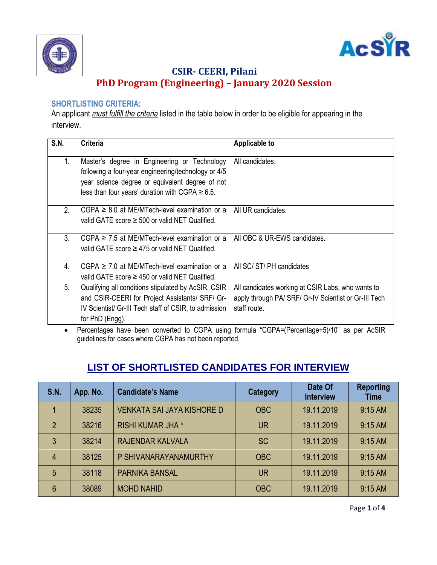



## **CSIR- CEERI, Pilani PhD Program (Engineering) – January 2020 Session**

#### **SHORTLISTING CRITERIA:**

An applicant *must fulfill the criteria* listed in the table below in order to be eligible for appearing in the interview.

| S.N. | <b>Criteria</b>                                                                                     | <b>Applicable to</b>                                                                                                                                                                                                                                                                                                                                                                                                |
|------|-----------------------------------------------------------------------------------------------------|---------------------------------------------------------------------------------------------------------------------------------------------------------------------------------------------------------------------------------------------------------------------------------------------------------------------------------------------------------------------------------------------------------------------|
| 1.   | Master's degree in Engineering or Technology<br>following a four-year engineering/technology or 4/5 | All candidates.                                                                                                                                                                                                                                                                                                                                                                                                     |
|      | year science degree or equivalent degree of not                                                     |                                                                                                                                                                                                                                                                                                                                                                                                                     |
|      | less than four years' duration with CGPA $\geq 6.5$ .                                               |                                                                                                                                                                                                                                                                                                                                                                                                                     |
| 2.   | $CGPA \geq 8.0$ at ME/MTech-level examination or a                                                  | All UR candidates.                                                                                                                                                                                                                                                                                                                                                                                                  |
|      | valid GATE score $\geq$ 500 or valid NET Qualified.                                                 |                                                                                                                                                                                                                                                                                                                                                                                                                     |
| 3.   | $CGPA \geq 7.5$ at ME/MTech-level examination or a                                                  | All OBC & UR-EWS candidates.                                                                                                                                                                                                                                                                                                                                                                                        |
|      | valid GATE score $\geq$ 475 or valid NET Qualified.                                                 |                                                                                                                                                                                                                                                                                                                                                                                                                     |
| 4.   | $CGPA \geq 7.0$ at ME/MTech-level examination or a                                                  | All SC/ST/PH candidates                                                                                                                                                                                                                                                                                                                                                                                             |
|      | valid GATE score $\geq$ 450 or valid NET Qualified.                                                 |                                                                                                                                                                                                                                                                                                                                                                                                                     |
| 5.   | Qualifying all conditions stipulated by AcSIR, CSIR                                                 | All candidates working at CSIR Labs, who wants to                                                                                                                                                                                                                                                                                                                                                                   |
|      | and CSIR-CEERI for Project Assistants/ SRF/ Gr-                                                     | apply through PA/ SRF/ Gr-IV Scientist or Gr-III Tech                                                                                                                                                                                                                                                                                                                                                               |
|      | IV Scientist/ Gr-III Tech staff of CSIR, to admission                                               | staff route.                                                                                                                                                                                                                                                                                                                                                                                                        |
|      | for PhD (Engg).<br>$\sim$ $\sim$ $\sim$ $\sim$                                                      | $\overline{1}$ $\overline{2}$ $\overline{2}$ $\overline{3}$ $\overline{1}$ $\overline{2}$ $\overline{3}$ $\overline{1}$ $\overline{2}$ $\overline{3}$ $\overline{1}$ $\overline{2}$ $\overline{3}$ $\overline{1}$ $\overline{2}$ $\overline{3}$ $\overline{1}$ $\overline{2}$ $\overline{3}$ $\overline{4}$ $\overline{2}$ $\overline{3}$ $\overline{4}$ $\overline{2}$ $\overline{$<br>$\sim$ $\sim$ $\sim$ $\sim$ |

 Percentages have been converted to CGPA using formula "CGPA=(Percentage+5)/10" as per AcSIR guidelines for cases where CGPA has not been reported.

# **LIST OF SHORTLISTED CANDIDATES FOR INTERVIEW**

| <b>S.N.</b>    | App. No. | <b>Candidate's Name</b>           | <b>Category</b> | Date Of<br><b>Interview</b> | <b>Reporting</b><br><b>Time</b> |
|----------------|----------|-----------------------------------|-----------------|-----------------------------|---------------------------------|
|                | 38235    | <b>VENKATA SAI JAYA KISHORE D</b> | <b>OBC</b>      | 19.11.2019                  | $9:15$ AM                       |
| $\mathfrak{p}$ | 38216    | <b>RISHI KUMAR JHA *</b>          | <b>UR</b>       | 19.11.2019                  | $9:15$ AM                       |
| 3              | 38214    | <b>RAJENDAR KALVALA</b>           | <b>SC</b>       | 19.11.2019                  | $9:15$ AM                       |
| 4              | 38125    | P SHIVANARAYANAMURTHY             | <b>OBC</b>      | 19.11.2019                  | $9:15$ AM                       |
| 5              | 38118    | <b>PARNIKA BANSAL</b>             | <b>UR</b>       | 19.11.2019                  | $9:15$ AM                       |
| 6              | 38089    | <b>MOHD NAHID</b>                 | <b>OBC</b>      | 19.11.2019                  | $9:15$ AM                       |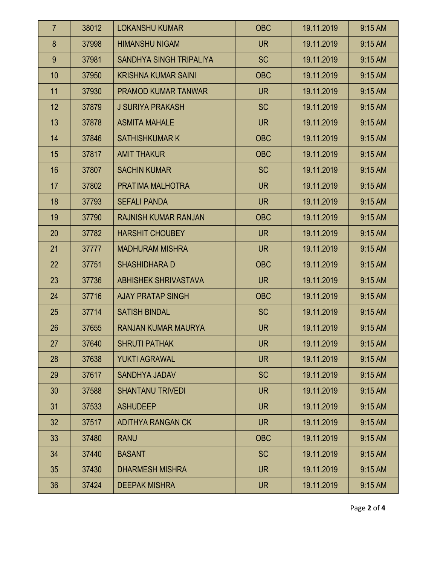| $\overline{7}$  | 38012 | <b>LOKANSHU KUMAR</b>       | <b>OBC</b> | 19.11.2019 | $9:15$ AM |
|-----------------|-------|-----------------------------|------------|------------|-----------|
| 8               | 37998 | <b>HIMANSHU NIGAM</b>       | <b>UR</b>  | 19.11.2019 | 9:15 AM   |
| 9               | 37981 | SANDHYA SINGH TRIPALIYA     | <b>SC</b>  | 19.11.2019 | 9:15 AM   |
| 10              | 37950 | <b>KRISHNA KUMAR SAINI</b>  | <b>OBC</b> | 19.11.2019 | 9:15 AM   |
| 11              | 37930 | <b>PRAMOD KUMAR TANWAR</b>  | <b>UR</b>  | 19.11.2019 | 9:15 AM   |
| 12              | 37879 | <b>J SURIYA PRAKASH</b>     | <b>SC</b>  | 19.11.2019 | 9:15 AM   |
| 13              | 37878 | <b>ASMITA MAHALE</b>        | <b>UR</b>  | 19.11.2019 | 9:15 AM   |
| 14              | 37846 | <b>SATHISHKUMAR K</b>       | <b>OBC</b> | 19.11.2019 | 9:15 AM   |
| 15              | 37817 | <b>AMIT THAKUR</b>          | <b>OBC</b> | 19.11.2019 | 9:15 AM   |
| 16              | 37807 | <b>SACHIN KUMAR</b>         | <b>SC</b>  | 19.11.2019 | 9:15 AM   |
| 17              | 37802 | PRATIMA MALHOTRA            | <b>UR</b>  | 19.11.2019 | 9:15 AM   |
| 18              | 37793 | <b>SEFALI PANDA</b>         | <b>UR</b>  | 19.11.2019 | 9:15 AM   |
| 19              | 37790 | <b>RAJNISH KUMAR RANJAN</b> | <b>OBC</b> | 19.11.2019 | 9:15 AM   |
| 20              | 37782 | <b>HARSHIT CHOUBEY</b>      | <b>UR</b>  | 19.11.2019 | 9:15 AM   |
| 21              | 37777 | <b>MADHURAM MISHRA</b>      | <b>UR</b>  | 19.11.2019 | 9:15 AM   |
| 22              | 37751 | <b>SHASHIDHARA D</b>        | <b>OBC</b> | 19.11.2019 | 9:15 AM   |
| 23              | 37736 | <b>ABHISHEK SHRIVASTAVA</b> | <b>UR</b>  | 19.11.2019 | 9:15 AM   |
| 24              | 37716 | <b>AJAY PRATAP SINGH</b>    | <b>OBC</b> | 19.11.2019 | 9:15 AM   |
| 25              | 37714 | <b>SATISH BINDAL</b>        | <b>SC</b>  | 19.11.2019 | 9:15 AM   |
| 26              | 37655 | RANJAN KUMAR MAURYA         | <b>UR</b>  | 19.11.2019 | 9:15 AM   |
| 27              | 37640 | <b>SHRUTI PATHAK</b>        | <b>UR</b>  | 19.11.2019 | 9:15 AM   |
| 28              | 37638 | <b>YUKTI AGRAWAL</b>        | <b>UR</b>  | 19.11.2019 | $9:15$ AM |
| 29              | 37617 | <b>SANDHYA JADAV</b>        | <b>SC</b>  | 19.11.2019 | 9:15 AM   |
| 30              | 37588 | <b>SHANTANU TRIVEDI</b>     | <b>UR</b>  | 19.11.2019 | 9:15 AM   |
| 31              | 37533 | <b>ASHUDEEP</b>             | <b>UR</b>  | 19.11.2019 | $9:15$ AM |
| 32 <sub>2</sub> | 37517 | <b>ADITHYA RANGAN CK</b>    | <b>UR</b>  | 19.11.2019 | 9:15 AM   |
| 33              | 37480 | <b>RANU</b>                 | <b>OBC</b> | 19.11.2019 | 9:15 AM   |
| 34              | 37440 | <b>BASANT</b>               | <b>SC</b>  | 19.11.2019 | $9:15$ AM |
| 35              | 37430 | <b>DHARMESH MISHRA</b>      | <b>UR</b>  | 19.11.2019 | 9:15 AM   |
| 36              | 37424 | <b>DEEPAK MISHRA</b>        | <b>UR</b>  | 19.11.2019 | 9:15 AM   |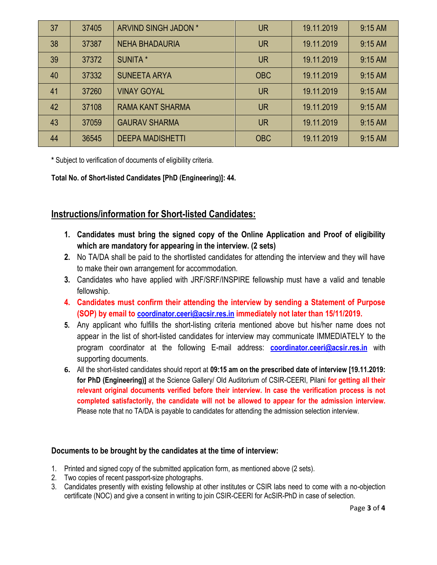| 37 | 37405 | <b>ARVIND SINGH JADON *</b> | <b>UR</b>  | 19.11.2019 | $9:15$ AM |
|----|-------|-----------------------------|------------|------------|-----------|
| 38 | 37387 | <b>NEHA BHADAURIA</b>       | <b>UR</b>  | 19.11.2019 | 9:15 AM   |
| 39 | 37372 | <b>SUNITA</b> *             | <b>UR</b>  | 19.11.2019 | $9:15$ AM |
| 40 | 37332 | <b>SUNEETA ARYA</b>         | <b>OBC</b> | 19.11.2019 | $9:15$ AM |
| 41 | 37260 | <b>VINAY GOYAL</b>          | <b>UR</b>  | 19.11.2019 | $9:15$ AM |
| 42 | 37108 | <b>RAMA KANT SHARMA</b>     | <b>UR</b>  | 19.11.2019 | $9:15$ AM |
| 43 | 37059 | <b>GAURAV SHARMA</b>        | <b>UR</b>  | 19.11.2019 | $9:15$ AM |
| 44 | 36545 | <b>DEEPA MADISHETTI</b>     | <b>OBC</b> | 19.11.2019 | $9:15$ AM |

**\*** Subject to verification of documents of eligibility criteria.

**Total No. of Short-listed Candidates [PhD (Engineering)]: 44.**

### **Instructions/information for Short-listed Candidates:**

- **1. Candidates must bring the signed copy of the Online Application and Proof of eligibility which are mandatory for appearing in the interview. (2 sets)**
- **2.** No TA/DA shall be paid to the shortlisted candidates for attending the interview and they will have to make their own arrangement for accommodation.
- **3.** Candidates who have applied with JRF/SRF/INSPIRE fellowship must have a valid and tenable fellowship.
- **4. Candidates must confirm their attending the interview by sending a Statement of Purpose (SOP) by email to coordinator.ceeri@acsir.res.in immediately not later than 15/11/2019.**
- **5.** Any applicant who fulfills the short-listing criteria mentioned above but his/her name does not appear in the list of short-listed candidates for interview may communicate IMMEDIATELY to the program coordinator at the following E-mail address: **[coordinator.ceeri@acsir.res.in](mailto:coordinator.ceeri@acsir.res.in)** with supporting documents.
- **6.** All the short-listed candidates should report at **09:15 am on the prescribed date of interview [19.11.2019: for PhD (Engineering)]** at the Science Gallery/ Old Auditorium of CSIR-CEERI, Pilani **for getting all their relevant original documents verified before their interview. In case the verification process is not completed satisfactorily, the candidate will not be allowed to appear for the admission interview.** Please note that no TA/DA is payable to candidates for attending the admission selection interview.

#### **Documents to be brought by the candidates at the time of interview:**

- 1. Printed and signed copy of the submitted application form, as mentioned above (2 sets).
- 2. Two copies of recent passport-size photographs.
- 3. Candidates presently with existing fellowship at other institutes or CSIR labs need to come with a no-objection certificate (NOC) and give a consent in writing to join CSIR-CEERI for AcSIR-PhD in case of selection.